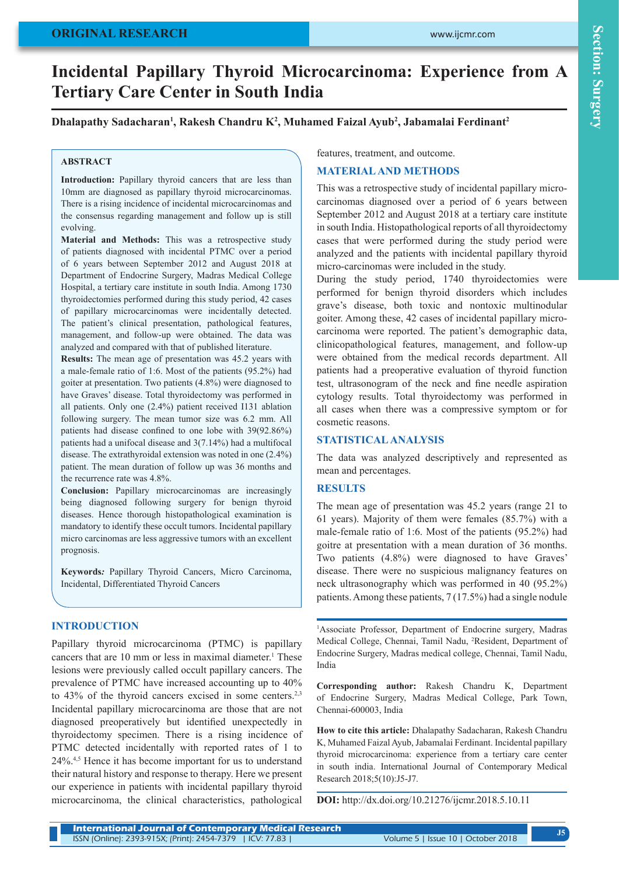### **ORIGINAL RESEARCH**

# **Incidental Papillary Thyroid Microcarcinoma: Experience from A Tertiary Care Center in South India**

Dhalapathy Sadacharan<sup>1</sup>, Rakesh Chandru K<sup>2</sup>, Muhamed Faizal Ayub<sup>2</sup>, Jabamalai Ferdinant<sup>2</sup>

#### **ABSTRACT**

Introduction: Papillary thyroid cancers that are less than 10mm are diagnosed as papillary thyroid microcarcinomas. There is a rising incidence of incidental microcarcinomas and the consensus regarding management and follow up is still evolving.

**Material and Methods:** This was a retrospective study of patients diagnosed with incidental PTMC over a period of 6 years between September 2012 and August 2018 at Department of Endocrine Surgery, Madras Medical College Hospital, a tertiary care institute in south India. Among 1730 thyroidectomies performed during this study period, 42 cases of papillary microcarcinomas were incidentally detected. The patient's clinical presentation, pathological features, management, and follow-up were obtained. The data was analyzed and compared with that of published literature.

**Results:** The mean age of presentation was 45.2 years with a male-female ratio of 1:6. Most of the patients (95.2%) had goiter at presentation. Two patients (4.8%) were diagnosed to have Graves' disease. Total thyroidectomy was performed in all patients. Only one (2.4%) patient received I131 ablation following surgery. The mean tumor size was 6.2 mm. All patients had disease confined to one lobe with 39(92.86%) patients had a unifocal disease and 3(7.14%) had a multifocal disease. The extrathyroidal extension was noted in one (2.4%) patient. The mean duration of follow up was 36 months and the recurrence rate was 4.8%.

**Conclusion:** Papillary microcarcinomas are increasingly being diagnosed following surgery for benign thyroid diseases. Hence thorough histopathological examination is mandatory to identify these occult tumors. Incidental papillary micro carcinomas are less aggressive tumors with an excellent prognosis.

**Keywords***:* Papillary Thyroid Cancers, Micro Carcinoma, Incidental, Differentiated Thyroid Cancers

#### **INTRODUCTION**

Papillary thyroid microcarcinoma (PTMC) is papillary cancers that are 10 mm or less in maximal diameter.<sup>1</sup> These lesions were previously called occult papillary cancers. The prevalence of PTMC have increased accounting up to 40% to 43% of the thyroid cancers excised in some centers.<sup>2,3</sup> Incidental papillary microcarcinoma are those that are not diagnosed preoperatively but identified unexpectedly in thyroidectomy specimen. There is a rising incidence of PTMC detected incidentally with reported rates of 1 to 24%.4,5 Hence it has become important for us to understand their natural history and response to therapy. Here we present our experience in patients with incidental papillary thyroid microcarcinoma, the clinical characteristics, pathological

features, treatment, and outcome.

#### **MATERIAL AND METHODS**

This was a retrospective study of incidental papillary microcarcinomas diagnosed over a period of 6 years between September 2012 and August 2018 at a tertiary care institute in south India. Histopathological reports of all thyroidectomy cases that were performed during the study period were analyzed and the patients with incidental papillary thyroid micro-carcinomas were included in the study.

During the study period, 1740 thyroidectomies were performed for benign thyroid disorders which includes grave's disease, both toxic and nontoxic multinodular goiter. Among these, 42 cases of incidental papillary microcarcinoma were reported. The patient's demographic data, clinicopathological features, management, and follow-up were obtained from the medical records department. All patients had a preoperative evaluation of thyroid function test, ultrasonogram of the neck and fine needle aspiration cytology results. Total thyroidectomy was performed in all cases when there was a compressive symptom or for cosmetic reasons.

#### **STATISTICAL ANALYSIS**

The data was analyzed descriptively and represented as mean and percentages.

#### **RESULTS**

The mean age of presentation was 45.2 years (range 21 to 61 years). Majority of them were females (85.7%) with a male-female ratio of 1:6. Most of the patients (95.2%) had goitre at presentation with a mean duration of 36 months. Two patients (4.8%) were diagnosed to have Graves' disease. There were no suspicious malignancy features on neck ultrasonography which was performed in 40 (95.2%) patients. Among these patients, 7 (17.5%) had a single nodule

1 Associate Professor, Department of Endocrine surgery, Madras Medical College, Chennai, Tamil Nadu, 2 Resident, Department of Endocrine Surgery, Madras medical college, Chennai, Tamil Nadu, India

**Corresponding author:** Rakesh Chandru K, Department of Endocrine Surgery, Madras Medical College, Park Town, Chennai-600003, India

**How to cite this article:** Dhalapathy Sadacharan, Rakesh Chandru K, Muhamed Faizal Ayub, Jabamalai Ferdinant. Incidental papillary thyroid microcarcinoma: experience from a tertiary care center in south india. International Journal of Contemporary Medical Research 2018;5(10):J5-J7.

**DOI:** http://dx.doi.org/10.21276/ijcmr.2018.5.10.11

| <b>International Journal of Contemporary Medical Research</b> |                                    |
|---------------------------------------------------------------|------------------------------------|
| ISSN (Online): 2393-915X; (Print): 2454-7379   ICV: 77.83     | Volume 5   Issue 10   October 2018 |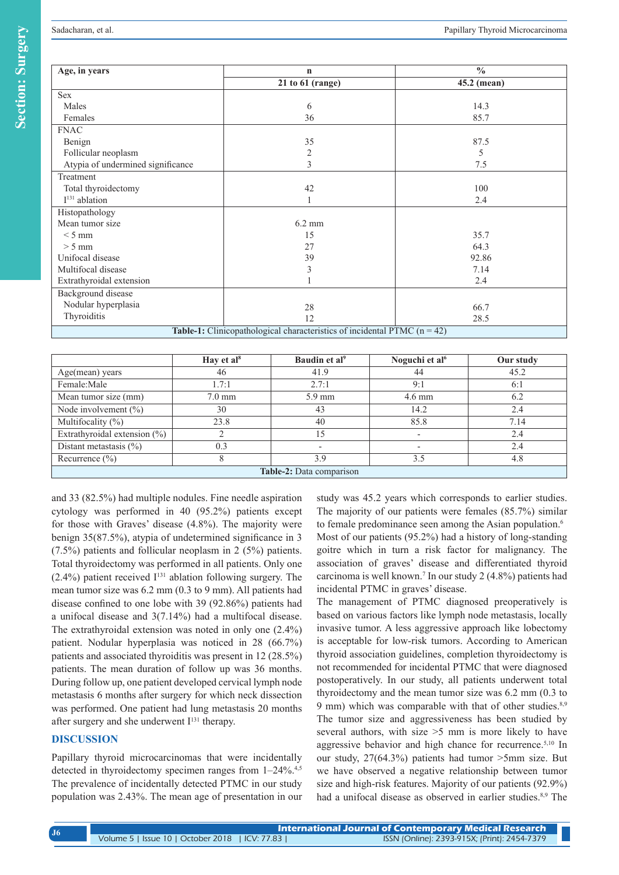| Age, in years                                                                     | $\mathbf n$          | $\frac{0}{0}$ |  |  |  |
|-----------------------------------------------------------------------------------|----------------------|---------------|--|--|--|
|                                                                                   | $21$ to $61$ (range) | 45.2 (mean)   |  |  |  |
| Sex                                                                               |                      |               |  |  |  |
| Males                                                                             | 6                    | 14.3          |  |  |  |
| Females                                                                           | 36                   | 85.7          |  |  |  |
| <b>FNAC</b>                                                                       |                      |               |  |  |  |
| Benign                                                                            | 35                   | 87.5          |  |  |  |
| Follicular neoplasm                                                               | $\overline{c}$       | 5             |  |  |  |
| Atypia of undermined significance                                                 | 3                    | 7.5           |  |  |  |
| Treatment                                                                         |                      |               |  |  |  |
| Total thyroidectomy                                                               | 42                   | 100           |  |  |  |
| $I131$ ablation                                                                   |                      | 2.4           |  |  |  |
| Histopathology                                                                    |                      |               |  |  |  |
| Mean tumor size                                                                   | $6.2 \text{ mm}$     |               |  |  |  |
| $< 5$ mm                                                                          | 15                   | 35.7          |  |  |  |
| $> 5$ mm                                                                          | 27                   | 64.3          |  |  |  |
| Unifocal disease                                                                  | 39                   | 92.86         |  |  |  |
| Multifocal disease                                                                | 3                    | 7.14          |  |  |  |
| Extrathyroidal extension                                                          |                      | 2.4           |  |  |  |
| Background disease                                                                |                      |               |  |  |  |
| Nodular hyperplasia                                                               | 28                   | 66.7          |  |  |  |
| Thyroiditis                                                                       | 12                   | 28.5          |  |  |  |
| <b>Table-1:</b> Clinicopathological characteristics of incidental PTMC $(n = 42)$ |                      |               |  |  |  |

|                                  | Hay et $al8$     | Baudin et al <sup>9</sup> | Noguchi et al <sup>6</sup> | Our study |  |  |
|----------------------------------|------------------|---------------------------|----------------------------|-----------|--|--|
| Age(mean) years                  | 46               | 41.9                      | 44                         | 45.2      |  |  |
| Female:Male                      | 1.7:1            | 2.7:1                     | 9:1                        | 6:1       |  |  |
| Mean tumor size (mm)             | $7.0 \text{ mm}$ | $5.9 \text{ mm}$          | $4.6 \text{ mm}$           | 6.2       |  |  |
| Node involvement $(\% )$         | 30               | 43                        | 14.2                       | 2.4       |  |  |
| Multifocality $(\% )$            | 23.8             | 40                        | 85.8                       | 7.14      |  |  |
| Extrathyroidal extension $(\% )$ |                  | 15                        |                            | 2.4       |  |  |
| Distant metastasis $(\% )$       | 0.3              |                           |                            | 2.4       |  |  |
| Recurrence $(\% )$               |                  | 3.9                       | 3.5                        | 4.8       |  |  |
| Table-2: Data comparison         |                  |                           |                            |           |  |  |

and 33 (82.5%) had multiple nodules. Fine needle aspiration cytology was performed in 40 (95.2%) patients except for those with Graves' disease (4.8%). The majority were benign 35(87.5%), atypia of undetermined significance in 3 (7.5%) patients and follicular neoplasm in 2 (5%) patients. Total thyroidectomy was performed in all patients. Only one  $(2.4\%)$  patient received  $I<sup>131</sup>$  ablation following surgery. The mean tumor size was 6.2 mm (0.3 to 9 mm). All patients had disease confined to one lobe with 39 (92.86%) patients had a unifocal disease and 3(7.14%) had a multifocal disease. The extrathyroidal extension was noted in only one (2.4%) patient. Nodular hyperplasia was noticed in 28 (66.7%) patients and associated thyroiditis was present in 12 (28.5%) patients. The mean duration of follow up was 36 months. During follow up, one patient developed cervical lymph node metastasis 6 months after surgery for which neck dissection was performed. One patient had lung metastasis 20 months after surgery and she underwent  $I<sup>131</sup>$  therapy.

#### **DISCUSSION**

Papillary thyroid microcarcinomas that were incidentally detected in thyroidectomy specimen ranges from  $1-24\%$ .<sup>4,5</sup> The prevalence of incidentally detected PTMC in our study population was 2.43%. The mean age of presentation in our study was 45.2 years which corresponds to earlier studies. The majority of our patients were females (85.7%) similar to female predominance seen among the Asian population.<sup>6</sup> Most of our patients (95.2%) had a history of long-standing goitre which in turn a risk factor for malignancy. The association of graves' disease and differentiated thyroid carcinoma is well known.7 In our study 2 (4.8%) patients had incidental PTMC in graves' disease.

The management of PTMC diagnosed preoperatively is based on various factors like lymph node metastasis, locally invasive tumor. A less aggressive approach like lobectomy is acceptable for low-risk tumors. According to American thyroid association guidelines, completion thyroidectomy is not recommended for incidental PTMC that were diagnosed postoperatively. In our study, all patients underwent total thyroidectomy and the mean tumor size was 6.2 mm (0.3 to 9 mm) which was comparable with that of other studies. $8,9$ The tumor size and aggressiveness has been studied by several authors, with size >5 mm is more likely to have aggressive behavior and high chance for recurrence.<sup>5,10</sup> In our study, 27(64.3%) patients had tumor >5mm size. But we have observed a negative relationship between tumor size and high-risk features. Majority of our patients (92.9%) had a unifocal disease as observed in earlier studies.<sup>8,9</sup> The